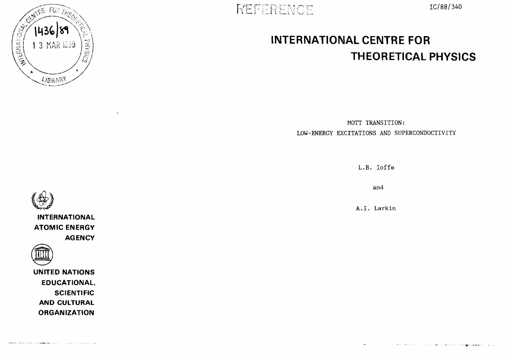

# **INTERNATIONAL CENTRE FOR THEORETICAL PHYSICS**

MOTT TRANSITION: LOW-ENERGY EXCITATIONS AND SUPERCONDUCTIVITY

L.B. Ioffe

and

A.I. Larkin



**AGENCY**

the model was the companion of the co-

 $\mathbf{I}$ 



**UNITED NATIONS EDUCATIONAL, SCIENTIFIC AND CULTURAL ORGANIZATION**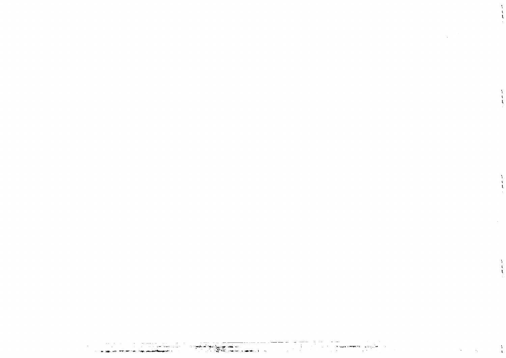$\label{eq:3.1} \begin{split} \mathcal{L}_{\text{in}}(\mathcal{L}_{\text{in}}(\mathcal{L}_{\text{in}}(\mathcal{L}_{\text{in}}(\mathcal{L}_{\text{in}}(\mathcal{L}_{\text{in}}(\mathcal{L}_{\text{in}}(\mathcal{L}_{\text{in}}(\mathcal{L}_{\text{in}}(\mathcal{L}_{\text{in}}(\mathcal{L}_{\text{in}}(\mathcal{L}_{\text{in}}(\mathcal{L}_{\text{in}}(\mathcal{L}_{\text{in}}(\mathcal{L}_{\text{in}}(\mathcal{L}_{\text{in}}(\mathcal{L}_{\text{in}}(\mathcal{L}_{\text{in}}(\mathcal{L}_{\text$  $\sim$ 

 $\label{eq:2.1} \omega_{\rm{max}} = \omega_{\rm{max}} = \frac{1}{4} \, .$ 

 $\Lambda$  $\mathbf{A}$  $\mathbf{t}$ 

 $\mathbf{r}$ 

 $\mathcal{L}^{\mathcal{L}}$ 

 $\mathcal{V}_\mathrm{F}$  $\ddot{\phantom{1}}$  $\mathbf{t}$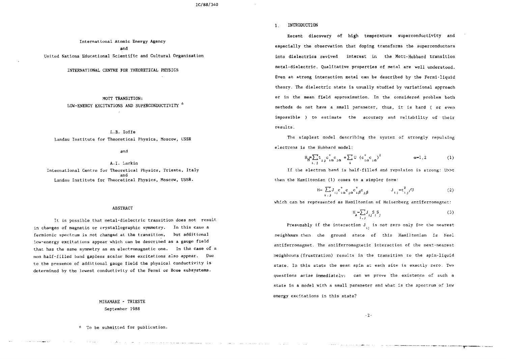### IC/88/340

International Atomic Energy Agency and United Nations Educational Scientific and Cultural Organization

INTERNATIONAL CENTRE FOE THEORETICAL PHYSICS

HOTT TRANSITION: LOW-ENERGY EXCITATIONS AND SUPERCONDUCTIVITY \*

L.E. loffe Landau Institute for Theoretical Physics, Moscow, USSR

and

A.I. Larkin International Centre for Theoretical Physics, Trieste, Italy and Landau Institute for Theoretical Physics, Moscow, USSR.

#### ABSTRACT

It is possible that metal-dielectric transition does not result in changes of magnetic or crystallographic symmetry. In this case a fermionic spectrum is not changed at the transition, but additional low-energy excitations appear which can be described as a gauge field that has the same symmetry as an electromagnetic one. In the case of a non half-filled band gapless scalar Bose excitations also appear. Due to the presence of additional gauge field the physical conductivity is determined by the lowest conductivity of the Fermi or Bose subsystems.

> MIRAMARE - TRIESTE September 1988

1. INTRODUCTION

Recent discovery of high temperature superconductivity and especially the observation that doping transforms the superconductors into dielectrics revived interest in the Mott-Hubbard transition metal-dielectric. Qualitative properties of metal are well understood. Even et strong Interaction metal can be described by the Fermi-liquid theory. The dielectric state Is usually studied by varlational approach or in the mean field approximation. In the considered problem both methods do not have a small parameter, thus, It is hard < or even impossible ) to estimate the accuracy and reliability of their results.

The simplest model describing the system of strongly repulsing electrons is the Hubbard model:

$$
\mathbb{H}_{\mathbf{H}_{\underline{i},\underline{j}}}^{\mathbf{F}} \mathbb{E}_{\underline{i},\underline{j}} \mathbb{C}_{\underline{i}\alpha}^{\dagger} \mathbb{C}_{\underline{j}\alpha} + \sum_{i} \mathbb{U} (\mathbb{C}_{\underline{i}\alpha}^{\dagger} \mathbb{C}_{\underline{i}\alpha})^{2} \qquad \alpha=1,2 \qquad (1)
$$

If the electron band is half-filled and repulsion is strong: U>>t then the Hamiltonian (1) comes to a simpler form:

$$
H = \sum_{i,j} J_{i,j} c_{i\alpha}^+ c_{j\alpha} c_{i\beta}^+ c_{j\beta}^+ \qquad J_{i,j} = c_{i,j}^2 / U \qquad (2)
$$

which can be represented as Hamiltonian of Heisenberg antiferromagnet:

$$
H_A - \sum_{i,j} J_{ij} S_i S_j
$$
 (3)

Presumably if the interaction  $J_{ij}$  is not zero only for the nearest neighbours then the ground state of this Hamiltonian is Neel antiferromagnet. The antiferromagnetic interaction of the next-nearest neighbours (frustration) results in the transition to the spin-liquid state. In this state the mean spin at each site is exactly zero. Two questions arise immediately; can we prove the existence of such a state in a model with a small parameter and what is the spectrum of low energy excitations in this state?

To be submitted for publication.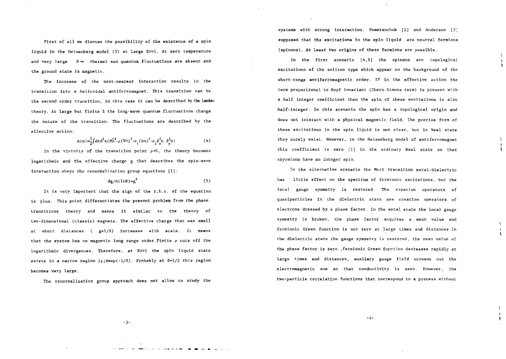First of all we discuss the possibility of the existence of a spin liquid in the Heisenberg model (3) at large S>>1. At zero temperature and very large  $S\rightarrow\infty$  thermal and quantum fluctuations are absent and the ground state is magnetic.

The increase of the next-nearest interaction results in the transition into a helicoidal antiferromagnet. This transition can be the second order transition, in this case it can be described by the Landau theory. At large but finite S the long-wave quantum fluctuations change the nature of the transition. The fluctuations are described by the effective action:

$$
A(n) - \frac{1}{2} \int dt d^2x \{M_n^2 - \rho (\nabla \wedge)^2 - \sigma_1 (\Delta n)^2 - \sigma_2 \frac{\partial^2}{\partial x} n \frac{\partial^2}{\partial y} n\}
$$
 (4)

In the vicinity of the transition point  $\rho \rightarrow 0$ , the theory becomes logarithmic and the effective charge g that describes the spin-wave interaction obeys the renormalization group equations [1]:

# $dg/d(lnR) - g^2$  (5)

المستحقق والمتحدث والمتعادية

It is very important that the sign of the r.h.s. of the equation is plus. This point differentiates the present problem from the phase transitions theory and makes it similar to the theory of two-dimensional (classic) magnets. The effective charge that was small at short distances  $($   $g\alpha1/S)$  increases with scale. It means that the system has no magnetic long range order. Finite  $\rho$  cuts off the logarithmic divergences. Therefore, at S>>1 the spin liquid state exists in a narrow region  $|i| \le \exp(-1/5)$ . Probably at S-1/2 this region becomes very large.

The renormalization group approach does not allow to study the

systems with strong Interaction. Pomeranchuk [2] and Anderson [3] supposed that the excitations in the spin liquid are neutral fermions (spinons). At least two origins of these fermions are possible.

In the first scenario [4,5] the spinons are topological excitations of the soliton type which appear on the background of the short-range antiferromagnetic order. If in the effective action the term proportional to Hopf invariant (Chern-Simons term) is present with a half integer coefficient then the spin of these excitations is also half-integer. In this scenario the spin has a topological origin and does not interact with a physical magnetic field. The precise form of these excitations in the spin liquid is not clear, but in Neel state they surely exist. However, in the Heisenberg model of antiferromagnet this coefficient is zero (1] in the ordinary Neel state so that skyrmions have an integer spin.

In the alternative scenario the Hott transition metal-dielectric has little effect on the spectrum of fermionic excitations, but the local gauge symmetry Is restored. The creation operators of quasiparticles In the dielectric state are creation operators of electrons dressed by a phase factor. In the metal state the local gauge symmetry is broken, the phase factor acquires a mean value and fermionic Green function is not zero at large times and distances.In the dielectric state the gauge symmetry is restored, the mean value of the phase factor is zero .fermionic Green function decreases rapidly at large times and distances, auxilary gauge field screens out the electromagnetic one so that conductivity is zero. However, the two-particle correlation functions that correspond to a process without

-4-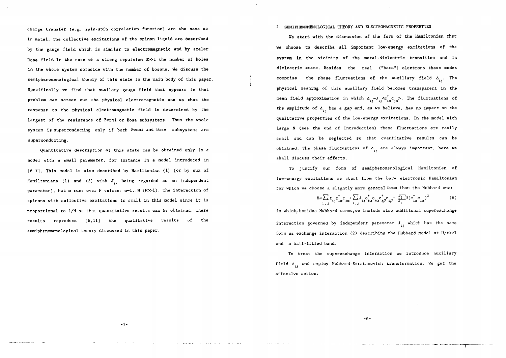charge transfer (e.g. spin-spin correlation function) are the same as In metal. The collective excitations of the spinon liquid are described by the gauge field which 13 similar to electromagnetic and by scalar Bose field. In the case of a strong repulsion U>>t the number of holes in the whole system coincide with the number of bosons. We discuss the semiphenomenologlcal theory of this state in the main body of this paper. Specifically we find that auxllary gauge field that appears in that problem can screen out the physical electromagnetic one so that the response to the physical electromagnetic field Is determined by the largest of the resistance of Fermi or Bose subsystems. Thus the whole system is superconducting only if both Fermi and Bose subsystems are superconducting.

Quantitative description of this state can be obtained only in a model with a small parameter, for instance in a model introduced in [6,7]. This model is also described by Hamiltonian (1) (or by sum of Hamiltonians (1) and (2) with  $J_{ij}$  being regarded as an independent parameter), but  $\alpha$  runs over N values:  $\alpha=1$ . N (N>>1). The interaction of spinons with collective excitations is small In this model since It is proportional to 1/N so that quantitative results can be obtained, These results reproduce [6,11] the qualitative results of the semiphenomenologlcal theory discussed In this paper.

2. SEMIFHENOMENOLOGICAL THEORY AND ELECTROMAGNETIC PROPERTIES

**We start** with **the** discussion **of** the form of the Hamiltonian that we choose to describe all important low-energy excitations of the system in the vicinity of the metal-dielectric transition and In dielectric state. Besides the real ("bare") electrons these modes comprise the phase fluctuations of the auxiliary field  $\Delta_{\mu}$ . The physical meaning of this auxiliary field becomes transparent In the mean field approximation in which  $\Delta_{j,j} = C_{j+1}^+ C_{j+1}^- C_{j+1}^-$ . The fluctuations of the amplitude of  $\Delta$ <sub>i</sub> has a gap and, as we believe, has no impact on the qualitative properties of the low-energy excitations. In the model with large N (see the end of Introduction) these fluctuations are really small and can be neglected so that quantitative results can be obtained. The phase fluctuations of  $\Delta_{\Theta}$  are always important, here we shall discuss their effects.

To justify our form of semiphenomenological Hamiltonian of low-energy excitations we start from the bare electronic Hamiltonian for which we choose a slightly more general form than the Hubbard one:

$$
H = \sum_{i,j} t_{ij} c_{i\alpha}^{\dagger} c_{j\alpha}^{\dagger} + \sum_{i,j} J_{ij} c_{i\alpha}^{\dagger} c_{j\alpha}^{\dagger} c_{j\beta}^{\dagger} + \frac{1}{2} \sum_{i} U (c_{i\alpha}^{\dagger} c_{i\alpha})^2
$$
(6)

in which, besides Hubbard terms, we include also additional superexchange interaction governed by independent parameter  $J_{ij}$  which has the same form as exchange interaction  $(2)$  describing the Hubbard model at U/t>>1 and a half-filled band.

To treat the superexchange interaction we introduce auxiliary field  $\Delta_{ij}$  and employ Hubbard-Stratanovich transformation. We get the effective action: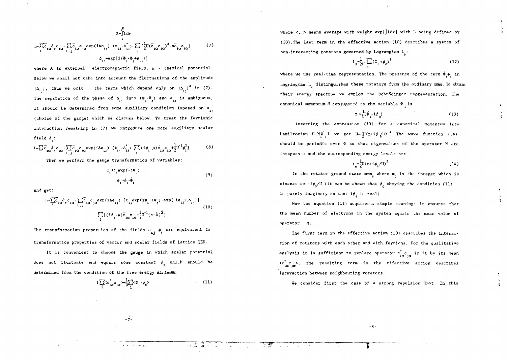$$
\beta
$$
\n
$$
S = \int L d\tau
$$
\n
$$
L - \sum_{i} \overline{c}_{i\alpha} \beta_{\tau} c_{i\alpha} - \sum_{i,j} \overline{c}_{i\alpha} c_{j\alpha} exp(iAe_{i,j}) \quad (t_{i,j} - \Delta_{i,j}^{*}) - \sum_{i} \left[\frac{1}{2}U(\overline{c}_{i\alpha} c_{i\alpha})^{2} - \mu \overline{c}_{i\alpha} c_{i\alpha}\right]
$$
\n
$$
\Delta_{i,j} = exp[i(\Phi_{i} - \Phi_{i} + a_{i,j})]
$$
\n(7)

where A is external electromagnetic field,  $\mu$  - chemical potential. Below we shall not take into account the fluctuations of the amplitude  $|\Delta_{i,j}|$ , thus we omit the terms which depend only on  $|\Delta_{i,j}|^2$  in (7). The separation of the phase of  $\Delta_{\frac{1}{2}}$  into  $(\Phi_i \cdot \Phi_j)$  and  $\frac{1}{4!}$  is ambiguous, it should be determined from some auxiliary condition imposed on  $a_{ij}$ (choice of the gauge) which we discuss below. To treat the fermionic interaction remaining in (?) we introduce one more auxiliary scalar field  $\phi$ :

$$
L\left[\sum_{i} \overline{c}_{i\alpha} \partial_{\tau} c_{i\alpha} \cdot \sum_{i,j} \overline{c}_{i\alpha} c_{j\alpha} \exp(iA\mathbf{e}_{i,j}) \left(\mathbf{t}_{i,j} \cdot \Delta_{i,j}^{\star}\right) \cdot \sum_{i} \left(i\phi_{i} \cdot \mu\right) \overline{c}_{i\alpha} c_{i\alpha} + \frac{1}{2} U^{\dagger} \phi_{i}^{2}\right] \tag{8}
$$

Then we perform the gauge transformation of variables:

$$
c_{i} + c_{i} \exp(-i\Phi_{i})
$$
  
\n
$$
\phi_{i} + \phi_{i} - \Phi_{i}
$$
 (9)

and get:

$$
I - \sum_{i} \sum_{i,\alpha} \sigma_r c_{i\alpha} \sum_{i,j} \overline{c}_{i\alpha} c_{j\alpha} exp(iA\phi_{ij}) \left[ t_{ij} exp(i\phi_i - i\phi_j) - exp(-i a_{ij}) |\Delta_{ij}| \right] - \sum_{i} \left[ (i\phi_i - \mu) \overline{c}_{i\alpha} c_{i\alpha} + \frac{1}{2} U^{-1} (\phi - \delta)^2 \right]
$$
(10)

The transformation properties of the fields  $a_{i,i}$ ,  $\phi_i$  are equivalent to transformation properties of vector and scalar fields of lattice QED.

It Is convenient to choose the gauge in which scalar potential does not fluctuate and equals some constant  $\phi$  which should be determined from the condition of the free energy minimum:

-7-

$$
i\sum_{i}c_{i\alpha}^{*}c_{i\alpha} - \frac{1}{9}\sum_{i}c_{i\alpha}^{*} - \phi_{0}^{*} \tag{11}
$$

where  $\langle . \rangle$  means average with weight exp[[Ldr] with L being defined by (10).The last term in the effective action (10) describes a system of non-interacting rotators governed by Lagrangian L :

$$
L_{0} = \frac{1}{2} \int_{0}^{\infty} \sum_{i} (\dot{\Phi}_{i} - i \phi_{0})^{2}
$$
 (12)

where we use real-time representation. The presence of the term  $\dot{\Phi}_{, \phi_{\rho}}$  in Lagrangian L<sub>a</sub> distinguishes these rotators from the ordinary ones. To obtain their energy spectrum we employ the Schrodinger representation. The canonical momentum  $M$  conjugated to the variable  $\Phi$  is

$$
M = \frac{1}{U} (\dot{\phi}_1 - i \phi_0) \tag{13}
$$

Inserting the expression (13) for a canonical momentum into Hamiltonian H-M $\sum_{i=1}^{N}$ . L we get  $H=\frac{1}{2}[(M+1)\phi_{i}(U)]^{2}$ . The wave function Y( $\phi$ ) should be periodic over  $\Phi$  so that eigenvalues of the operator N are integers m and the corresponding energy levels are

$$
\epsilon_m - \frac{1}{2} U (m + i \phi_0 / U)^2 \tag{14}
$$

In the rotator ground state m-m where m is the integer which is closest to  $-i\phi_0 /U$  (it can be shown that  $\phi_0$  obeying the condition (11) is purely imaginary so that  $i\phi_{\alpha}$  is real).

Now the equation (11) acquires a simple meaning: it ensures that the mean number of electrons In the system equals the mean value of operator M.

The first term in the effective action (10) describes the interaction of rotators with each other and with fermions. For the qualitative analysis it is sufficient to replace operator  $\frac{1}{4\alpha}$  ic in it by its mean  $\ll_{i\alpha}^+$ c >. The resulting term in the effective action describes interaction between neighbouring rotators.

We consider first the case of a strong repulsion U>>t. In this

 $-9-$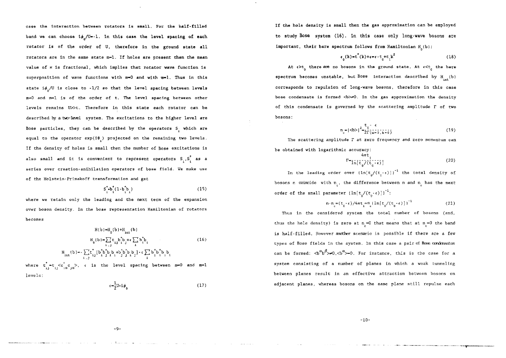case the Interaction between rotators Is small. For the half-filled band we can choose  $1\phi /U-1$ . In this case the level spacing of each rotator is of the order of U, therefore in the ground state all rotators are In the same state m-1. If holes are present then the mean value of H is fractional, which implies that rotator wave function is superposition of wave functions with m-0 and with m—1. Thus in this state  $i\phi \sqrt{U}$  is close to -1/2 so that the level spacing between levels  $m=0$  and  $m=1$  is of the order of t. The level spacing between other levels remains U>>t. Therefore in this state each rotator can be described by a two-level system. The excitations to the higher level are Bose particles, they can be described by the operators S which are equal to the operator  $exp(i\Phi)$  projected on the remaining two levels. If the density of holes is small then the number of Bose excitations Is also small and it is convenient to represent operators  $S_i$ ,  $S_i^*$  as a series over creation-anlhilation operators of bose field. We make use of the Holstein-Prlmakoff transformation and get

$$
S_i^{\dagger} \cdot b_i^{\dagger} (1 \cdot b_i^{\dagger} b_i)
$$
 (15)

where we retain only the leading and the next term of the expansion over boson density. In the bose representation Hamiltonian of rotators becomes

$$
H(b) = H_0(b) + H_{int}(b)
$$
  
\n
$$
H_0(b) = \sum_{i,j} c_{ij} b_{ij}^{\dagger} b_{j} + \sum_{i} b_{i}^{\dagger} b_{i}
$$
  
\n
$$
H_{int}(b) = -\sum_{i,j} c_{ij}^{\dagger} [b_{ij}^{\dagger} b_{j} b_{i} b_{j} + b_{ij}^{\dagger} b_{j} b_{k} ] - \epsilon \sum_{i} b_{i}^{\dagger} b_{i}^{\dagger} b_{i} b_{i}
$$
  
\n(16)

where  $\int_{i,j}^{i,j}$  -t<sub>1</sub>  $\int_{i,j}^{i,j}$  c is the level spacing between m-0 and m-1 leve1s:

 $\epsilon = \frac{1}{2}U + i\phi$  (17)

If the hole density Is small then the gas approximation can be employed to study Bose system (16). In this case only long-wave bosons are important, their bare spectrum follows from Hamiltonian H<sub>2</sub>(b):

$$
\epsilon_0(\mathbf{k}) = \mathbf{t}^*(\mathbf{k}) + \epsilon = \epsilon - \mathbf{t}_0 + \mathbf{t}_1 \mathbf{k}^2 \tag{18}
$$

At  $\epsilon >$ t $_{\rm o}$  there are no bosons in the ground state. At  $\epsilon <$ t $_{\rm o}$  the bare spectrum becomes unstable, but Bose interaction described by  $H_{n+1}(b)$ corresponds to repulsion of long-wave bosons, therefore in this case bose condensate is formed <b> $\neq$ 0. In the gas approximation the density of this condensate Is governed by the scattering amplitude T of two bosons:

$$
n_e = |\langle b \rangle|^2 = \frac{t_e - \epsilon}{2\bar{r}(\bar{\omega} - \epsilon, k - \delta)} \tag{19}
$$

The scattering amplitude  $\Gamma$  at zero frequency and zero momentum can be obtained with logarithmic accuracy:

$$
\Gamma = \frac{4\pi t}{\ln\left[\frac{c}{6}\right/(\frac{t}{6}-\epsilon)\right]}
$$
 (20)

In the leading order over  $(\ln [t]/(t_{n} - \epsilon))$ <sup>-1</sup> the total density of bosons n coincide with  $n_{\mu}$ , the difference between n and  $n_{\mu}$  has the next order of the small parameter  $(\ln[t_{n}/(t_{n} - \epsilon))]^{1}$ :

$$
n \cdot n \approx (\tau_0 \cdot \epsilon) / 4\pi t \gamma \gamma \left( \ln[\tau_0 / (\tau_0 \cdot \epsilon)] \right)^{-1}
$$
 (21)

Thus in the considered system the total number of bosons (and, thus the hole density) is zero at  $n = 0$  that means that at  $n = 0$  the band is half-filled. However another scenario is possible if there are a few types of Bose fields in the system. In this case a pair of Bose condensates can be formed:  $\langle b^{\alpha} b^{\beta} \rangle \neq 0, \langle b^{\alpha} \rangle = 0$ . For instance, this is the case for a system consisting of a number of planes in which a weak tunneling between planes result in an effective attraction between bosons on adjacent planes, whereas bosons on the same plane still repulse each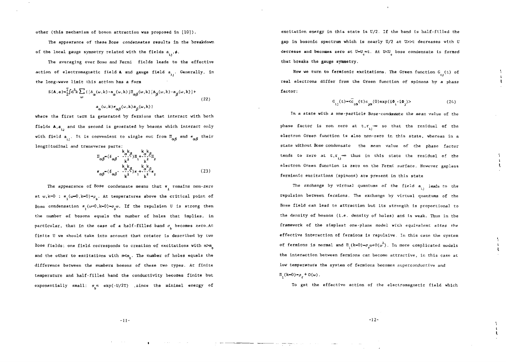other (this mechanism of boson attraction was proposed In [10]).

The appearance of these Bose condensates results in the breakdown of the local gauge symmetry related with the fields  $a_{1,1}$ ,  $\phi$ .

The averaging over Bose and Fermi fields leads to the effective action of electromagnetic field A and gauge field a ... Generally, in the long-wave limit this action has a form

$$
S(A, a) - \frac{1}{2} \int d^{2}k \sum_{\omega} \left\{ \left[ A_{\alpha}(\omega, k) - a_{\alpha}(\omega, k) \right] \Pi_{\alpha\beta}(\omega, k) \left[ A_{\beta}(\omega, k) - a_{\beta}(\omega, k) \right] + \right. \\ \left. (22)
$$
\n
$$
a_{-}(\omega, k) \pi_{\alpha\beta}(\omega, k) a_{\beta}(\omega, k) \right\}
$$

where the first term is generated by fermions that interact with both fields  $A, a_{ij}$  and the second is generated by bosons which interact only ij a J J with field a . It is convenient to single out from  $\Pi_{\alpha\beta}$  and  $\pi_{\alpha\beta}$  their longtltudinal and transverse parts:

$$
\begin{array}{l}\n\mathbf{k} & \mathbf{k} & \mathbf{k} \\
\mathbf{m}_{\alpha\beta} - (\delta_{\alpha\beta} - \frac{\mathbf{k}}{2} \mathbf{k}^2) \mathbf{m}_1 + \frac{\mathbf{k}}{2} \mathbf{k}^2 \\
\mathbf{k} & \mathbf{k}^2 & \mathbf{k}^2 \\
\mathbf{k} & \mathbf{k} & \mathbf{k}^2 \\
\mathbf{m}_{\alpha\beta} - (\delta_{\alpha\beta} - \frac{\mathbf{k}}{2} \mathbf{k}^2) \mathbf{m}_1 + \frac{\mathbf{k}}{2} \mathbf{k}^2 \\
\mathbf{m}_2 & \mathbf{m}_2\n\end{array} \tag{23}
$$

The appearance of Bose condensate means that  $\pi$ <sub>i</sub> remains non-zero at  $\omega$ , k-0 :  $\pi_1(\omega=0, k=0) = \rho_5$ . At temperatures above the critical point of Bose condensation  $\pi_1(\omega+0,k=0) = \sigma_1 \omega$ . If the repulsion U is strong then 1 b the number of bosons equals the number of holes that Implies, in particular, that in the case of a half-filled band  $\sigma$  becomes zero.At b finite V we should take into account that rotator is described by two Bose fields: one field corresponds to creation of excitations with m>m and the other to excitations with  $m <sub>m</sub>$ . The number of holes equals the difference between the numbers bosons of the numbers  $\mathcal{L}_{\mathcal{A}}$  these two types. At finite  $\mathcal{L}_{\mathcal{A}}$ temperature and half-filled band the conductivity becomes finite but exponentially small:  $\sigma_{\rm g} \propto \exp(-U/2T)$  .since the minimal energy of

excitation energy in this state is U/2. If the band Is half-filled the gap in bosonic spectrum which is nearly U/2 at U>>t decreases with U decrease and becomes zero at U  $\leq$   $\leq$  At U<U bose condensate is formed c contract to the contract of the contract of the contract of the contract of the contract of the contract of the contract of the contract of the contract of the contract of the contract of the contract of the contract of  $t_{\text{max}}$  the symmetry.

Now we turn to fermionic excitations. The Green function  $G_{11}(t)$  of real electrons differ from the Green function of spinons by a phase

$$
G_{ij}(t) = \overline{c}_{i\alpha}(t)c_{j\alpha}(0)exp(i\Phi_{i} - i\Phi_{j}) \tag{24}
$$

In a state with a one-particle Bose-condensate the mean value of the phase factor is non zero at  $t, r \rightarrow \infty$  so that the residual of the electron Green function Is also non-zero in this state, whereas In a state without Bose condensate the mean value of the phase factor tends to zero at  $t, r \rightarrow \infty$  thus in this state the residual of the ij electron Green function is zero on the Fermi surface. However gapless fermionic excitations (spinons) are present in this state

The exchange by virtual quantums of the field  $a_{ij}$  leads to the repulsion between fermions. The exchange by virtual quantums of the Bose field can lead to attraction but its strength Is proportional to the density of bosons (i.e. density of holes) and Is weak. Thus in the framework of the simplest one-plane model with equivalent sites the effective interaction of fermions is repulsive. In this case the system of fermions is normal and  $\Pi_{\mu}(k=0) = \sigma_{\mu} \omega + O(\omega^2)$ . In more complicated models the interaction between fermions can become attractive, in this case at low temperature the system of fermions becomes superconductive and  $\Pi_{\gamma}$ (k-0)- $\rho_{\gamma}$  + 0(ω).

To get the effective action of the electromagnetic field which

-11-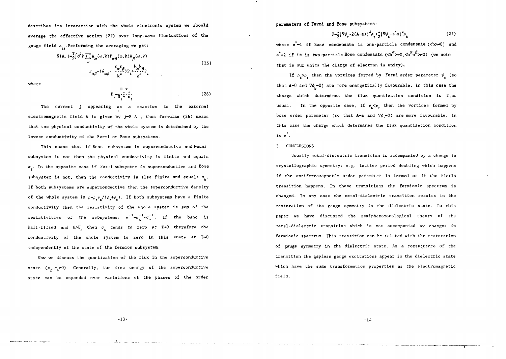describes its interaction with the whole electronic system we should average the effective action (22) over long-wave fluctuations of the gauge field  $a_{ij}$ . Performing the averaging we get:

$$
S(A, )-\frac{1}{2}\int d^{2}k \sum_{\omega} A_{\alpha}(\omega,k)P_{\alpha\beta}(\omega,k)A_{\beta}(\omega,k)
$$
\n
$$
+ \frac{k_{\alpha}k_{\beta}}{\alpha\beta} \frac{k_{\alpha}k_{\beta}}{k^{2}} P_{1} + \frac{k_{\alpha}k_{\beta}}{k^{2}} P_{2}
$$
\n(25)

where

$$
P_{1} = \frac{\pi_{1} \pi_{1}}{\pi_{1} + \pi_{1}}
$$
 (26)

The current j appearing as a reaction to the external electromagnetic field A Is given by J-P A , thus formulae (26) means that the physical conductivity of the whole system Is determined by the lowest conductivity of the Fermi or Bose subsystems.

This means that If Bose subsystem Is superconductive and Fermi subsystem is not then the physical conductivity Is finite and equals  $\sigma_{\mu}$ . In the opposite case if Fermi subsystem is superconductive and Bose subsystem is not, then the conductivity is also finite and equals  $\sigma_{\mu}$ . If both subsystems are superconductive then the superconductive density of the whole system is  $p-\rho_{r} \rho_{b}/(\rho_{r}+\rho_{b})$ . If both subsystems have a finite **f b £ if** conductivity then the resistivity of the whole system is sum of the resistivities of the subsystems:  $\sigma^{-1} = \sigma_k^{-1} + \sigma_*^{-1}$ . If the band is **b f** half-filled and U>U then  $\sigma_{\rm b}$  tends to zero at T<del>-</del>O therefore the conductivity of the whole system is zero in this state at T-0 conductivity of the whole system is zero In this state at T-0 state at T-0 state at T-0 state at T-0 state at T-0 state at T-0 state at T-0 state at T-0 state at T-0 state at T-0 state at T-0 state at T-0 state at T-0 sta

Now we discuss the quantization of the flux in the superconductive  $N_{\rm eff}$  we discuss the flux In the flux In the flux In the superconductive superconductive superconductive superconductive superconductive superconductive superconductive superconductive superconductive superconductive s state  $(\rho_*,\rho_{\kappa} \neq 0)$ . Generally, the free energy of the superconductive **f b** state can be expanded over variations of the phases of the order

independently of the state of the fermion subsystem.

parameters of Fermi and Bose subsystems:

$$
F = \frac{1}{2} |\nabla \psi_{r} - 2(A - a)|^{2} \rho_{r} + \frac{1}{2} |\nabla \psi_{b} - e^{a} a|^{2} \rho_{b}
$$
 (27)

where  $e^{\text{*}}$ -1 if Bose condensate is one-particle condensate (<br/>b>+0) and e<sup>\*-2</sup> if it is two-particle Bose condensate  $(5^{\alpha}$  $\rightarrow$ 0, $5^{\alpha}$  $\frac{b^{\beta}$  $\rightarrow$ 0) (we note that in our units the charge of electron is unity).

If  $p > p$ , then the vortices formed by Fermi order parameter  $\psi$  (so that  $a-0$  and  $\nabla\psi$  -0) are more energetically favourable. In this case the charge which determines the flux quantization condition is 2,as usual. In the opposite case, if  $\rho_{\mathbf{p}} < \rho_{\mathbf{p}}$  then the vortices formed by bose order parameter (so that  $A = a$  and  $\nabla \psi$ <sub>*z*</sub>=0) are more favourable. In  $\mathbf{r}$ this case the charge which determines the flux quantization condition

3. CONCLUSIONS

 $\Lambda$ 

Usually metal-dielectric transition is accompanied by a change in crystallographic symmetry; e.g. lattice period doubling which happens if the antiferromagnetic order parameter is formed or if the Pierls transition happens. In these transitions the fermionic spectrum is changed. In any case the metal-dielectric transition results in the restoration of the gauge symmetry in the dielectric state. In this paper we have discussed the semiphenomenological theory of the paper we have discussed the semlphenomenologlcal theory of the metal-dielectric transition which is not accompanied by changes in metal-dielectric transition which is not accompanied by changes In fermionic spectrum. This transition can be related with the restoration fermionic spectrum. This transition can be related with the restoration of gauge symmetry in the dielectric state. As a consequence of the  $\sigma$  gauge symmetry in the dielectric state  $\sigma$ transition the gapless gauge excitations appear in the dielectric state  $\frac{1}{2}$  transition the gauge excitations appear in the dielectric state state state state state state state state state state state state state state state state state state state state state state state state state sta which have the same transformation properties as the electromagnetic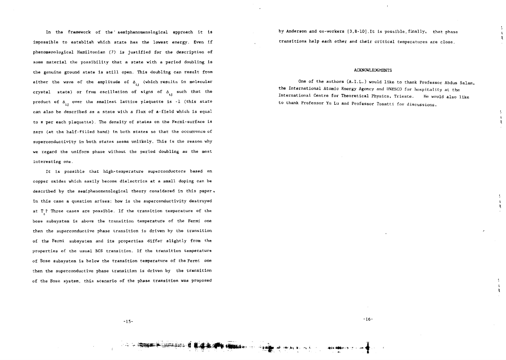In the framework of the' semiphenomenological approach It ts impossible to establish which state has the lowest energy. Even if phenosnenologlcal Hamiltonian (7) Is justified for the description of some material the possibility that a state with a period doubling is the genuine ground state is still open. This doubling can result from either the wave of the amplitude of  $\Delta_{ij}$  (which results in molecular crystal state) or from oscillation of signs of  $\Delta_{14}$  such that the product of  $\Delta_{\overline{A}}$  over the smallest lattice plaquette is -1 (this state can also be described as a state with a flux of a-field which is equal to  $\pi$  per each plaquette). The density of states on the Fermi-surface is zero (at the half-filled band) in both states so that the occurrence of superconductivity in both states seems unlikely. This is the reason why we regard the uniform phase without the period doubling as the most interesting one.

It is possible that high-temperature superconductors based on copper oxides which easily become dielectrics at a small doping can be described by the semiphenomenological theory considered in this paper, In this case a question arises: how is the superconductivity destroyed at T ? Three cases are possible. If the transition temperature of the bose subsystem is above the transition temperature of the Fermi one then the superconductive phase transition is driven by the transition of the Fermi subsystem and its properties differ slightly from the properties of the usual BCS transition. If the transition temperature of Bose subsystem Is below the transition temperature of the Fermi one then the superconductive phase transition is driven by the transition of the Bose system, this scenario of the phase transition was proposed

by Anderson and co-workers [3,8-10].It is possible, finally, that phase transitions help each other and their critical temperatures are close.

## ACKNOWLEDGMENTS

One of the authors (A.I.L.) would like to thank Professor Abdus Salam, the International Atomic Energy Agency and UNESCO for hospitality at the International Centre for Theoretical Physics, Trieste. He would also like to thank Professor Yu Lu and Professor Tosatti for discussions.

**A**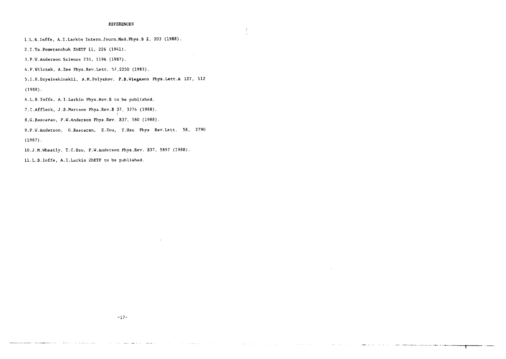# REFERENCES

l.L.B.Ioffe, A.I.Larkln Intern. Journ. Hod. Phys . B 2, 203 (1988).

2.1.Ya.Pomeranchuk ZhETF 11, 226 (1941).

3.P.U.Anderson Science 235, 1196 (1987).

4.F.Wilczek, A.Zee Phys.Rev.Lett. 57,2250 (1983).

5.I.E.Dzyaloshinskll, A .M. Polyakov. P.B.Wlegnann Phys.Lett.A 127, 112

(1988),

6.L.B.Io£fe, A.I.Larkin Fhys.Rev.B to be published,

7.I.Affleck, J.B.Martson Phys.Rev.E 37, 3774 (1988).

S.G.Bascaran, P.W.Anderson Fhys.Rev. B37, 580 (1988).

9.P.U.Anderson, G.Bascaran, Z.Zou, T.Hsu Phys Rev.Lett. 58, 2790 (1987).

lO.J.M.tfheatly, T.C.Hsu, P.W.Anderson Phys.Rev. E37, 5S97 (1988).

ll.L.B.Ioffe, A.I.Larkin ZhETP to be published.